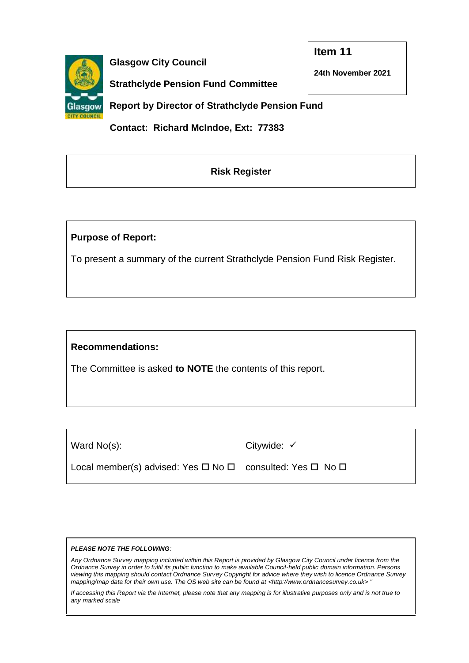

**Glasgow City Council**

**Item 11**

**24th November 2021**

**Strathclyde Pension Fund Committee** 

**Report by Director of Strathclyde Pension Fund**

 **Contact: Richard McIndoe, Ext: 77383**

## **Risk Register**

### **Purpose of Report:**

To present a summary of the current Strathclyde Pension Fund Risk Register.

## **Recommendations:**

The Committee is asked **to NOTE** the contents of this report.

Ward No(s):

Citywide: ✓

Local member(s) advised: Yes  $\Box$  No  $\Box$  consulted: Yes  $\Box$  No  $\Box$ 

#### *PLEASE NOTE THE FOLLOWING:*

*Any Ordnance Survey mapping included within this Report is provided by Glasgow City Council under licence from the Ordnance Survey in order to fulfil its public function to make available Council-held public domain information. Persons viewing this mapping should contact Ordnance Survey Copyright for advice where they wish to licence Ordnance Survey mapping/map data for their own use. The OS web site can be found at <http://www.ordnancesurvey.co.uk> "*

*If accessing this Report via the Internet, please note that any mapping is for illustrative purposes only and is not true to any marked scale*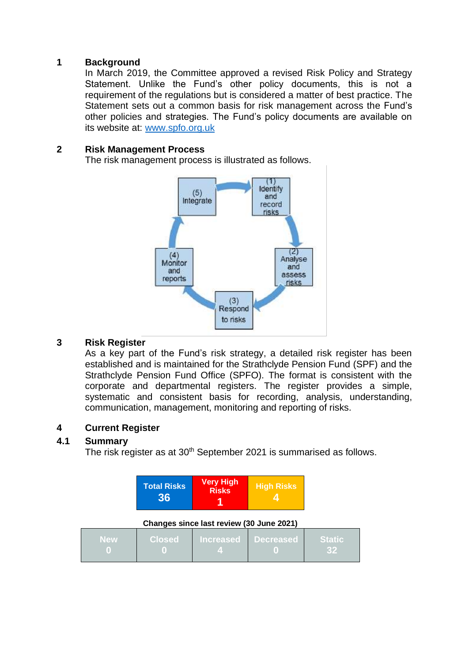#### **1 Background**

In March 2019, the Committee approved a revised Risk Policy and Strategy Statement. Unlike the Fund's other policy documents, this is not a requirement of the regulations but is considered a matter of best practice. The Statement sets out a common basis for risk management across the Fund's other policies and strategies. The Fund's policy documents are available on its website at: [www.spfo.org.uk](http://www.spfo.org.uk/)

#### **2 Risk Management Process**

The risk management process is illustrated as follows.



#### **3 Risk Register**

As a key part of the Fund's risk strategy, a detailed risk register has been established and is maintained for the Strathclyde Pension Fund (SPF) and the Strathclyde Pension Fund Office (SPFO). The format is consistent with the corporate and departmental registers. The register provides a simple, systematic and consistent basis for recording, analysis, understanding, communication, management, monitoring and reporting of risks.

### **4 Current Register**

### **4.1 Summary**

The risk register as at 30<sup>th</sup> September 2021 is summarised as follows.

| <b>Total Risks</b><br>36 | <b>Very High</b><br><b>Risks</b> | <b>High Risks</b> |
|--------------------------|----------------------------------|-------------------|
|--------------------------|----------------------------------|-------------------|

**Changes since last review (30 June 2021)**

| <b>New</b> |  | Closed Increased Decreased Static |  |
|------------|--|-----------------------------------|--|
|            |  |                                   |  |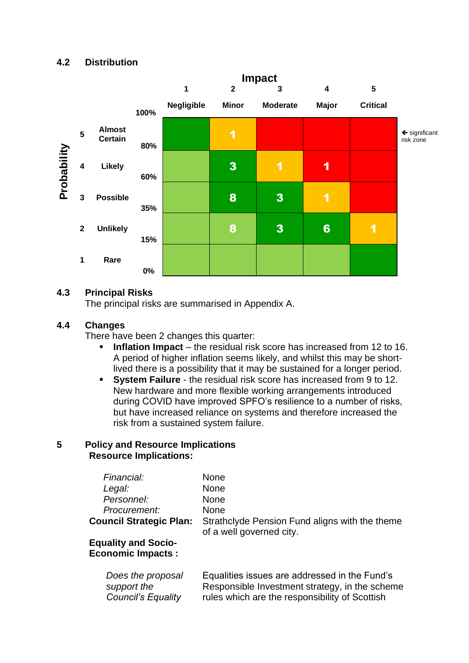

#### **4.3 Principal Risks**

The principal risks are summarised in Appendix A.

#### **4.4 Changes**

There have been 2 changes this quarter:

- **Inflation Impact** the residual risk score has increased from 12 to 16. A period of higher inflation seems likely, and whilst this may be shortlived there is a possibility that it may be sustained for a longer period.
- **System Failure** the residual risk score has increased from 9 to 12. New hardware and more flexible working arrangements introduced during COVID have improved SPFO's resilience to a number of risks, but have increased reliance on systems and therefore increased the risk from a sustained system failure.

#### **5 Policy and Resource Implications Resource Implications:**

| Financial:<br>Legal:<br>Personnel:<br>Procurement:<br><b>Council Strategic Plan:</b><br><b>Equality and Socio-</b><br><b>Economic Impacts:</b> | <b>None</b><br><b>None</b><br><b>None</b><br><b>None</b><br>Strathclyde Pension Fund aligns with the theme<br>of a well governed city. |
|------------------------------------------------------------------------------------------------------------------------------------------------|----------------------------------------------------------------------------------------------------------------------------------------|
| Does the proposal                                                                                                                              | Equalities issues are addressed in the Fund's                                                                                          |
| support the                                                                                                                                    | Responsible Investment strategy, in the scheme                                                                                         |
| <b>Council's Equality</b>                                                                                                                      | rules which are the responsibility of Scottish                                                                                         |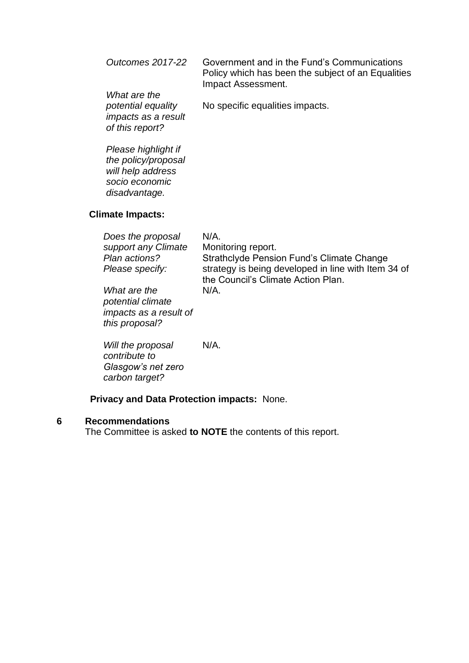| <b>Outcomes 2017-22</b>                                                      | Government and in the Fund's Communications<br>Policy which has been the subject of an Equalities<br>Impact Assessment. |
|------------------------------------------------------------------------------|-------------------------------------------------------------------------------------------------------------------------|
| What are the<br>potential equality<br>impacts as a result<br>of this report? | No specific equalities impacts.                                                                                         |

*Please highlight if the policy/proposal will help address socio economic disadvantage.*

### **Climate Impacts:**

| Does the proposal<br>support any Climate<br>Plan actions?<br>Please specify:  | $N/A$ .<br>Monitoring report.<br>Strathclyde Pension Fund's Climate Change<br>strategy is being developed in line with Item 34 of |
|-------------------------------------------------------------------------------|-----------------------------------------------------------------------------------------------------------------------------------|
| What are the<br>potential climate<br>impacts as a result of<br>this proposal? | the Council's Climate Action Plan.<br>N/A.                                                                                        |
| <u>Mill tha proposal</u>                                                      | NI/A                                                                                                                              |

*Will the proposal*  N/A. *contribute to Glasgow's net zero carbon target?*

#### **Privacy and Data Protection impacts:** None.

#### **6 Recommendations**

The Committee is asked **to NOTE** the contents of this report.